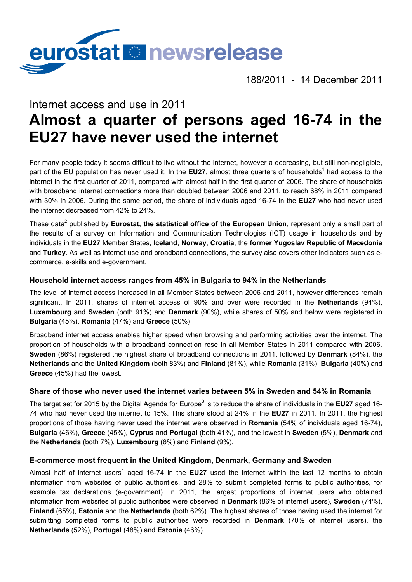

188/2011 - 14 December 2011

# Internet access and use in 2011 **Almost a quarter of persons aged 16-74 in the EU27 have never used the internet**

For many people today it seems difficult to live without the internet, however a decreasing, but still non-negligible, part of the EU population has never used it. In the **EU27**, almost three quarters of households<sup>1</sup> had access to the internet in the first quarter of 2011, compared with almost half in the first quarter of 2006. The share of households with broadband internet connections more than doubled between 2006 and 2011, to reach 68% in 2011 compared with 30% in 2006. During the same period, the share of individuals aged 16-74 in the **EU27** who had never used the internet decreased from 42% to 24%.

These data<sup>2</sup> published by **Eurostat, the statistical office of the European Union**, represent only a small part of the results of a survey on Information and Communication Technologies (ICT) usage in households and by individuals in the **EU27** Member States, **Iceland**, **Norway**, **Croatia**, the **former Yugoslav Republic of Macedonia** and **Turkey**. As well as internet use and broadband connections, the survey also covers other indicators such as ecommerce, e-skills and e-government.

## **Household internet access ranges from 45% in Bulgaria to 94% in the Netherlands**

The level of internet access increased in all Member States between 2006 and 2011, however differences remain significant. In 2011, shares of internet access of 90% and over were recorded in the **Netherlands** (94%), **Luxembourg** and **Sweden** (both 91%) and **Denmark** (90%), while shares of 50% and below were registered in **Bulgaria** (45%), **Romania** (47%) and **Greece** (50%).

Broadband internet access enables higher speed when browsing and performing activities over the internet. The proportion of households with a broadband connection rose in all Member States in 2011 compared with 2006. **Sweden** (86%) registered the highest share of broadband connections in 2011, followed by **Denmark** (84%), the **Netherlands** and the **United Kingdom** (both 83%) and **Finland** (81%), while **Romania** (31%), **Bulgaria** (40%) and **Greece** (45%) had the lowest.

## **Share of those who never used the internet varies between 5% in Sweden and 54% in Romania**

The target set for 2015 by the Digital Agenda for Europe<sup>3</sup> is to reduce the share of individuals in the **EU27** aged 16-74 who had never used the internet to 15%. This share stood at 24% in the **EU27** in 2011. In 2011, the highest proportions of those having never used the internet were observed in **Romania** (54% of individuals aged 16-74), **Bulgaria** (46%), **Greece** (45%), **Cyprus** and **Portugal** (both 41%), and the lowest in **Sweden** (5%), **Denmark** and the **Netherlands** (both 7%), **Luxembourg** (8%) and **Finland** (9%).

### **E-commerce most frequent in the United Kingdom, Denmark, Germany and Sweden**

Almost half of internet users<sup>4</sup> aged 16-74 in the **EU27** used the internet within the last 12 months to obtain information from websites of public authorities, and 28% to submit completed forms to public authorities, for example tax declarations (e-government). In 2011, the largest proportions of internet users who obtained information from websites of public authorities were observed in **Denmark** (86% of internet users), **Sweden** (74%), **Finland** (65%), **Estonia** and the **Netherlands** (both 62%). The highest shares of those having used the internet for submitting completed forms to public authorities were recorded in **Denmark** (70% of internet users), the **Netherlands** (52%), **Portugal** (48%) and **Estonia** (46%).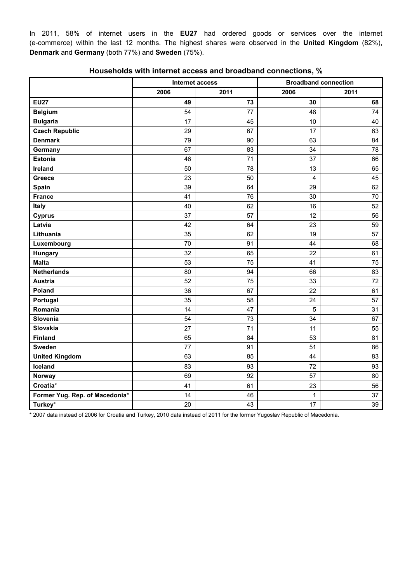In 2011, 58% of internet users in the **EU27** had ordered goods or services over the internet (e-commerce) within the last 12 months. The highest shares were observed in the **United Kingdom** (82%), **Denmark** and **Germany** (both 77%) and **Sweden** (75%).

|                                | Internet access |      | <b>Broadband connection</b> |      |
|--------------------------------|-----------------|------|-----------------------------|------|
|                                | 2006            | 2011 | 2006                        | 2011 |
| <b>EU27</b>                    | 49              | 73   | 30                          | 68   |
| <b>Belgium</b>                 | 54              | 77   | 48                          | 74   |
| <b>Bulgaria</b>                | 17              | 45   | 10                          | 40   |
| <b>Czech Republic</b>          | 29              | 67   | 17                          | 63   |
| <b>Denmark</b>                 | 79              | 90   | 63                          | 84   |
| Germany                        | 67              | 83   | 34                          | 78   |
| <b>Estonia</b>                 | 46              | 71   | 37                          | 66   |
| Ireland                        | 50              | 78   | 13                          | 65   |
| Greece                         | 23              | 50   | 4                           | 45   |
| Spain                          | 39              | 64   | 29                          | 62   |
| <b>France</b>                  | 41              | 76   | 30                          | 70   |
| Italy                          | 40              | 62   | 16                          | 52   |
| <b>Cyprus</b>                  | 37              | 57   | 12                          | 56   |
| Latvia                         | 42              | 64   | 23                          | 59   |
| Lithuania                      | 35              | 62   | 19                          | 57   |
| Luxembourg                     | 70              | 91   | 44                          | 68   |
| <b>Hungary</b>                 | 32              | 65   | 22                          | 61   |
| <b>Malta</b>                   | 53              | 75   | 41                          | 75   |
| <b>Netherlands</b>             | 80              | 94   | 66                          | 83   |
| <b>Austria</b>                 | 52              | 75   | 33                          | 72   |
| Poland                         | 36              | 67   | 22                          | 61   |
| Portugal                       | 35              | 58   | 24                          | 57   |
| Romania                        | 14              | 47   | 5                           | 31   |
| Slovenia                       | 54              | 73   | 34                          | 67   |
| Slovakia                       | 27              | 71   | 11                          | 55   |
| <b>Finland</b>                 | 65              | 84   | 53                          | 81   |
| <b>Sweden</b>                  | 77              | 91   | 51                          | 86   |
| <b>United Kingdom</b>          | 63              | 85   | 44                          | 83   |
| Iceland                        | 83              | 93   | 72                          | 93   |
| <b>Norway</b>                  | 69              | 92   | 57                          | 80   |
| Croatia*                       | 41              | 61   | 23                          | 56   |
| Former Yug. Rep. of Macedonia* | 14              | 46   | 1                           | 37   |
| Turkey*                        | 20              | 43   | 17                          | 39   |

#### **Households with internet access and broadband connections, %**

\* 2007 data instead of 2006 for Croatia and Turkey, 2010 data instead of 2011 for the former Yugoslav Republic of Macedonia.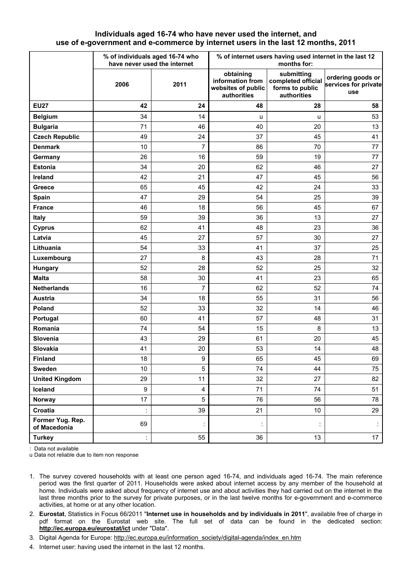#### **Individuals aged 16-74 who have never used the internet, and use of e-government and e-commerce by internet users in the last 12 months, 2011**

|                                  | % of individuals aged 16-74 who<br>have never used the internet |                         | % of internet users having used internet in the last 12<br>months for: |                                                                    |                                                  |
|----------------------------------|-----------------------------------------------------------------|-------------------------|------------------------------------------------------------------------|--------------------------------------------------------------------|--------------------------------------------------|
|                                  | 2006                                                            | 2011                    | obtaining<br>information from<br>websites of public<br>authorities     | submitting<br>completed official<br>forms to public<br>authorities | ordering goods or<br>services for private<br>use |
| <b>EU27</b>                      | 42                                                              | 24                      | 48                                                                     | 28                                                                 | 58                                               |
| <b>Belgium</b>                   | 34                                                              | 14                      | u                                                                      | u                                                                  | 53                                               |
| <b>Bulgaria</b>                  | 71                                                              | 46                      | 40                                                                     | 20                                                                 | 13                                               |
| <b>Czech Republic</b>            | 49                                                              | 24                      | 37                                                                     | 45                                                                 | 41                                               |
| <b>Denmark</b>                   | 10                                                              | $\overline{7}$          | 86                                                                     | 70                                                                 | 77                                               |
| Germany                          | 26                                                              | 16                      | 59                                                                     | 19                                                                 | 77                                               |
| <b>Estonia</b>                   | 34                                                              | 20                      | 62                                                                     | 46                                                                 | 27                                               |
| Ireland                          | 42                                                              | 21                      | 47                                                                     | 45                                                                 | 56                                               |
| Greece                           | 65                                                              | 45                      | 42                                                                     | 24                                                                 | 33                                               |
| Spain                            | 47                                                              | 29                      | 54                                                                     | 25                                                                 | 39                                               |
| <b>France</b>                    | 46                                                              | 18                      | 56                                                                     | 45                                                                 | 67                                               |
| Italy                            | 59                                                              | 39                      | 36                                                                     | 13                                                                 | 27                                               |
| <b>Cyprus</b>                    | 62                                                              | 41                      | 48                                                                     | 23                                                                 | 36                                               |
| Latvia                           | 45                                                              | 27                      | 57                                                                     | 30                                                                 | 27                                               |
| Lithuania                        | 54                                                              | 33                      | 41                                                                     | 37                                                                 | 25                                               |
| Luxembourg                       | 27                                                              | 8                       | 43                                                                     | 28                                                                 | 71                                               |
| Hungary                          | 52                                                              | 28                      | 52                                                                     | 25                                                                 | 32                                               |
| <b>Malta</b>                     | 58                                                              | 30                      | 41                                                                     | 23                                                                 | 65                                               |
| <b>Netherlands</b>               | 16                                                              | $\overline{7}$          | 62                                                                     | 52                                                                 | 74                                               |
| Austria                          | 34                                                              | 18                      | 55                                                                     | 31                                                                 | 56                                               |
| Poland                           | 52                                                              | 33                      | 32                                                                     | 14                                                                 | 46                                               |
| Portugal                         | 60                                                              | 41                      | 57                                                                     | 48                                                                 | 31                                               |
| Romania                          | 74                                                              | 54                      | 15                                                                     | 8                                                                  | 13                                               |
| Slovenia                         | 43                                                              | 29                      | 61                                                                     | 20                                                                 | 45                                               |
| Slovakia                         | 41                                                              | 20                      | 53                                                                     | 14                                                                 | 48                                               |
| <b>Finland</b>                   | 18                                                              | 9                       | 65                                                                     | 45                                                                 | 69                                               |
| <b>Sweden</b>                    | 10 <sup>°</sup>                                                 | 5                       | 74                                                                     | 44                                                                 | 75                                               |
| <b>United Kingdom</b>            | 29                                                              | 11                      | 32                                                                     | 27                                                                 | 82                                               |
| Iceland                          | 9                                                               | $\overline{\mathbf{4}}$ | 71                                                                     | 74                                                                 | 51                                               |
| Norway                           | 17                                                              | 5                       | 76                                                                     | 56                                                                 | 78                                               |
| Croatia                          | t                                                               | 39                      | 21                                                                     | 10 <sup>°</sup>                                                    | 29                                               |
| Former Yug. Rep.<br>of Macedonia | 69                                                              | ÷                       | ÷                                                                      | $\ddot{\cdot}$                                                     |                                                  |
| <b>Turkey</b>                    | ł,                                                              | 55                      | 36                                                                     | 13                                                                 | 17                                               |

: Data not available

u Data not reliable due to item non response

- 1. The survey covered households with at least one person aged 16-74, and individuals aged 16-74. The main reference period was the first quarter of 2011. Households were asked about internet access by any member of the household at home. Individuals were asked about frequency of internet use and about activities they had carried out on the internet in the last three months prior to the survey for private purposes, or in the last twelve months for e-government and e-commerce activities, at home or at any other location.
- 2. **Eurostat**, Statistics in Focus 66/2011 "**Internet use in households and by individuals in 2011**", available free of charge in pdf format on the Eurostat web site. The full set of data can be found in the dedicated section: **<http://ec.europa.eu/eurostat/ict>** under "Data".
- 3. Digital Agenda for Europe: [http://ec.europa.eu/information\\_society/digital-agenda/index\\_en.htm](http://ec.europa.eu/information_society/digital-agenda/index_en.htm)
- 4. Internet user: having used the internet in the last 12 months.